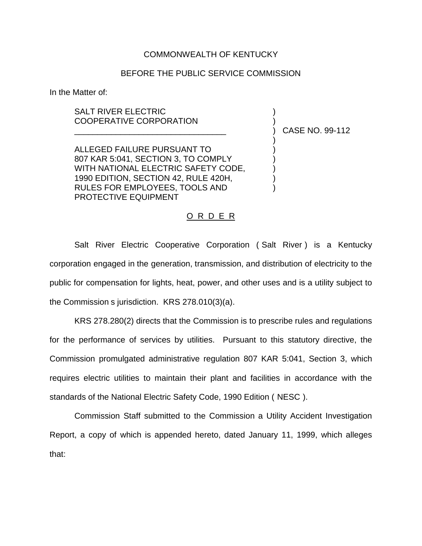## COMMONWEALTH OF KENTUCKY

## BEFORE THE PUBLIC SERVICE COMMISSION

In the Matter of:

## SALT RIVER ELECTRIC COOPERATIVE CORPORATION

ALLEGED FAILURE PURSUANT TO ) 807 KAR 5:041, SECTION 3, TO COMPLY WITH NATIONAL ELECTRIC SAFETY CODE, 1990 EDITION, SECTION 42, RULE 420H, ) RULES FOR EMPLOYEES, TOOLS AND ) PROTECTIVE EQUIPMENT

\_\_\_\_\_\_\_\_\_\_\_\_\_\_\_\_\_\_\_\_\_\_\_\_\_\_\_\_\_\_\_\_\_ ) CASE NO. 99-112

)

## O R D E R

Salt River Electric Cooperative Corporation ( Salt River ) is a Kentucky corporation engaged in the generation, transmission, and distribution of electricity to the public for compensation for lights, heat, power, and other uses and is a utility subject to the Commission s jurisdiction. KRS 278.010(3)(a).

KRS 278.280(2) directs that the Commission is to prescribe rules and regulations for the performance of services by utilities. Pursuant to this statutory directive, the Commission promulgated administrative regulation 807 KAR 5:041, Section 3, which requires electric utilities to maintain their plant and facilities in accordance with the standards of the National Electric Safety Code, 1990 Edition ( NESC ).

Commission Staff submitted to the Commission a Utility Accident Investigation Report, a copy of which is appended hereto, dated January 11, 1999, which alleges that: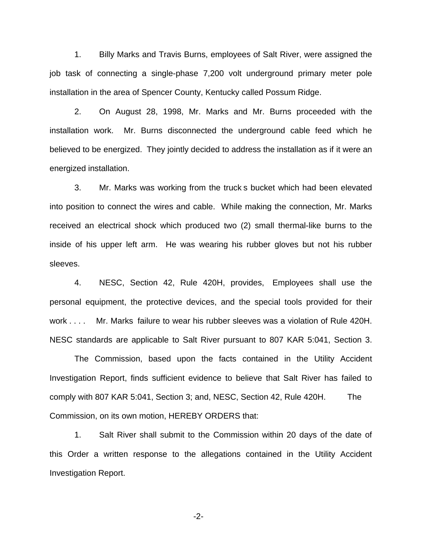1. Billy Marks and Travis Burns, employees of Salt River, were assigned the job task of connecting a single-phase 7,200 volt underground primary meter pole installation in the area of Spencer County, Kentucky called Possum Ridge.

2. On August 28, 1998, Mr. Marks and Mr. Burns proceeded with the installation work. Mr. Burns disconnected the underground cable feed which he believed to be energized. They jointly decided to address the installation as if it were an energized installation.

3. Mr. Marks was working from the truck s bucket which had been elevated into position to connect the wires and cable. While making the connection, Mr. Marks received an electrical shock which produced two (2) small thermal-like burns to the inside of his upper left arm. He was wearing his rubber gloves but not his rubber sleeves.

4. NESC, Section 42, Rule 420H, provides, Employees shall use the personal equipment, the protective devices, and the special tools provided for their work . . . . Mr. Marks failure to wear his rubber sleeves was a violation of Rule 420H. NESC standards are applicable to Salt River pursuant to 807 KAR 5:041, Section 3.

The Commission, based upon the facts contained in the Utility Accident Investigation Report, finds sufficient evidence to believe that Salt River has failed to comply with 807 KAR 5:041, Section 3; and, NESC, Section 42, Rule 420H. The Commission, on its own motion, HEREBY ORDERS that:

1. Salt River shall submit to the Commission within 20 days of the date of this Order a written response to the allegations contained in the Utility Accident Investigation Report.

-2-